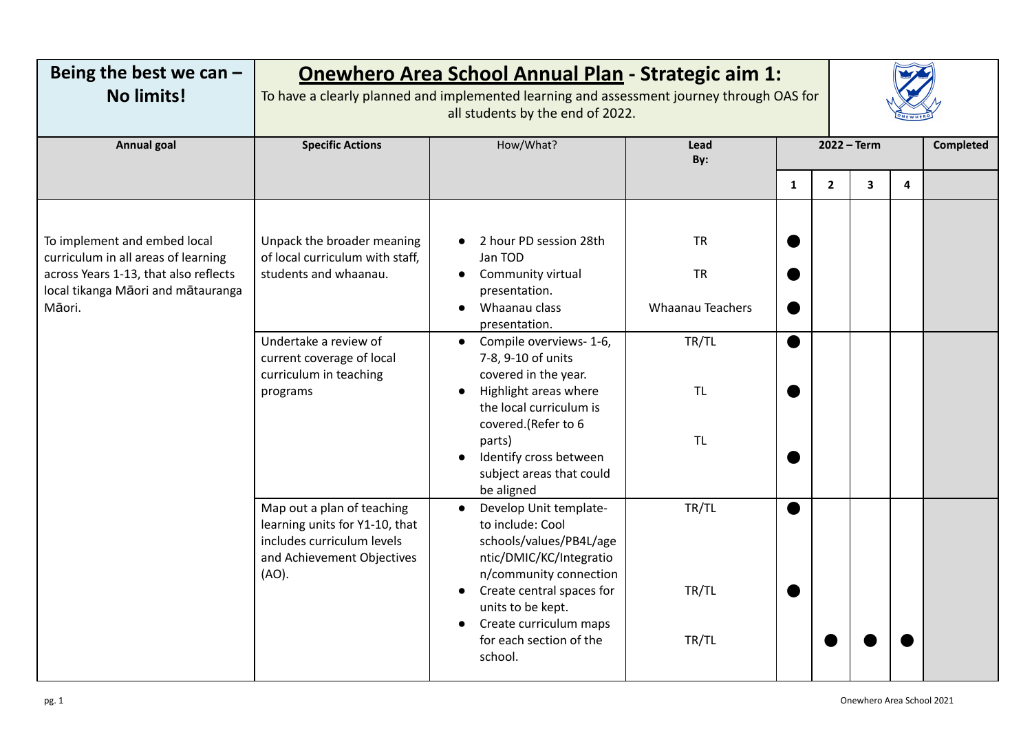| Being the best we can $-$<br>No limits!                                                                                                                      | <u> Onewhero Area School Annual Plan</u> - Strategic aim 1:<br>To have a clearly planned and implemented learning and assessment journey through OAS for |                                                                                                                                                                                                                                                                                     |                                                   |   |              |                         |                         |                  |
|--------------------------------------------------------------------------------------------------------------------------------------------------------------|----------------------------------------------------------------------------------------------------------------------------------------------------------|-------------------------------------------------------------------------------------------------------------------------------------------------------------------------------------------------------------------------------------------------------------------------------------|---------------------------------------------------|---|--------------|-------------------------|-------------------------|------------------|
| <b>Annual goal</b>                                                                                                                                           | <b>Specific Actions</b>                                                                                                                                  | How/What?                                                                                                                                                                                                                                                                           | Lead<br>By:                                       |   |              | $2022 - Term$           |                         | <b>Completed</b> |
|                                                                                                                                                              |                                                                                                                                                          |                                                                                                                                                                                                                                                                                     |                                                   | 1 | $\mathbf{2}$ | $\overline{\mathbf{3}}$ | $\overline{\mathbf{4}}$ |                  |
| To implement and embed local<br>curriculum in all areas of learning<br>across Years 1-13, that also reflects<br>local tikanga Māori and mātauranga<br>Māori. | Unpack the broader meaning<br>of local curriculum with staff,<br>students and whaanau.                                                                   | 2 hour PD session 28th<br>Jan TOD<br>• Community virtual<br>presentation.<br>Whaanau class<br>$\bullet$<br>presentation.                                                                                                                                                            | <b>TR</b><br><b>TR</b><br><b>Whaanau Teachers</b> |   |              |                         |                         |                  |
|                                                                                                                                                              | Undertake a review of<br>current coverage of local<br>curriculum in teaching<br>programs                                                                 | • Compile overviews-1-6,<br>7-8, 9-10 of units<br>covered in the year.<br>Highlight areas where<br>$\bullet$<br>the local curriculum is<br>covered.(Refer to 6<br>parts)<br>Identify cross between<br>subject areas that could<br>be aligned                                        | TR/TL<br><b>TL</b><br><b>TL</b>                   |   |              |                         |                         |                  |
|                                                                                                                                                              | Map out a plan of teaching<br>learning units for Y1-10, that<br>includes curriculum levels<br>and Achievement Objectives<br>(AO).                        | Develop Unit template-<br>$\bullet$<br>to include: Cool<br>schools/values/PB4L/age<br>ntic/DMIC/KC/Integratio<br>n/community connection<br>Create central spaces for<br>$\bullet$<br>units to be kept.<br>Create curriculum maps<br>$\bullet$<br>for each section of the<br>school. | TR/TL<br>TR/TL<br>TR/TL                           |   |              |                         |                         |                  |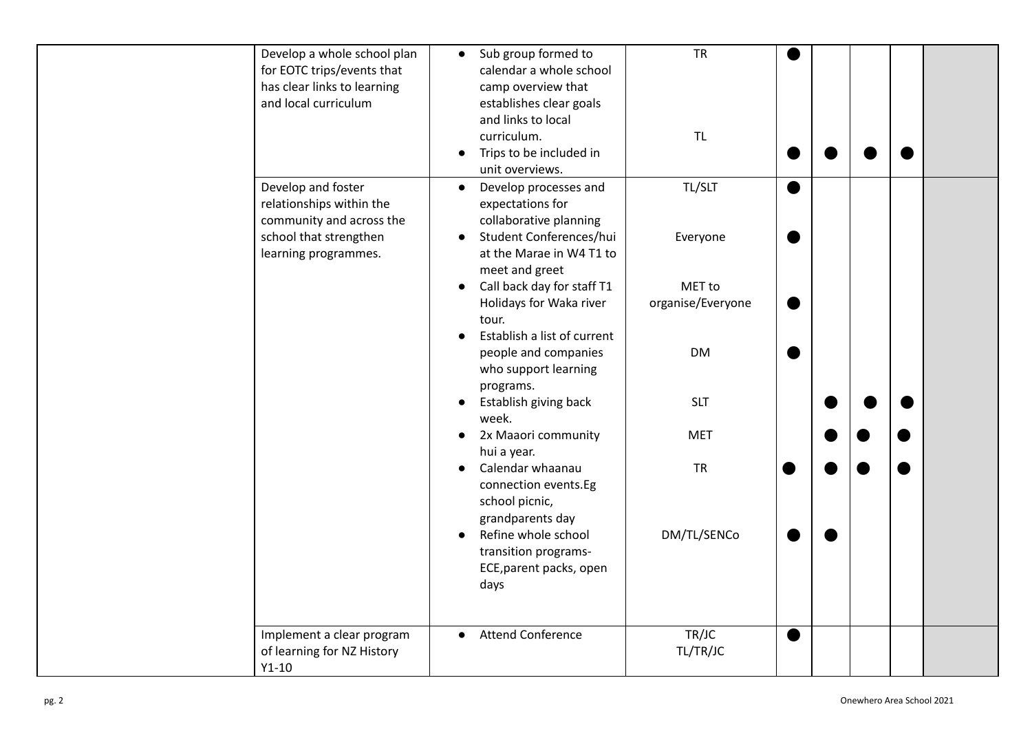| Develop a whole school plan<br>for EOTC trips/events that<br>has clear links to learning<br>and local curriculum             | Sub group formed to<br>$\bullet$<br>calendar a whole school<br>camp overview that<br>establishes clear goals<br>and links to local<br>curriculum.<br>Trips to be included in<br>unit overviews.                                                                                                                                                                                                                                                                                                                                                                                                            | <b>TR</b><br><b>TL</b>                                                                                                 |           |  |  |
|------------------------------------------------------------------------------------------------------------------------------|------------------------------------------------------------------------------------------------------------------------------------------------------------------------------------------------------------------------------------------------------------------------------------------------------------------------------------------------------------------------------------------------------------------------------------------------------------------------------------------------------------------------------------------------------------------------------------------------------------|------------------------------------------------------------------------------------------------------------------------|-----------|--|--|
| Develop and foster<br>relationships within the<br>community and across the<br>school that strengthen<br>learning programmes. | Develop processes and<br>$\bullet$<br>expectations for<br>collaborative planning<br>Student Conferences/hui<br>$\bullet$<br>at the Marae in W4 T1 to<br>meet and greet<br>Call back day for staff T1<br>$\bullet$<br>Holidays for Waka river<br>tour.<br>Establish a list of current<br>people and companies<br>who support learning<br>programs.<br>Establish giving back<br>week.<br>2x Maaori community<br>hui a year.<br>Calendar whaanau<br>connection events.Eg<br>school picnic,<br>grandparents day<br>Refine whole school<br>$\bullet$<br>transition programs-<br>ECE, parent packs, open<br>days | TL/SLT<br>Everyone<br>MET to<br>organise/Everyone<br><b>DM</b><br><b>SLT</b><br><b>MET</b><br><b>TR</b><br>DM/TL/SENCo | $\bullet$ |  |  |
| Implement a clear program<br>of learning for NZ History<br>$Y1-10$                                                           | <b>Attend Conference</b><br>$\bullet$                                                                                                                                                                                                                                                                                                                                                                                                                                                                                                                                                                      | TR/JC<br>TL/TR/JC                                                                                                      | ●         |  |  |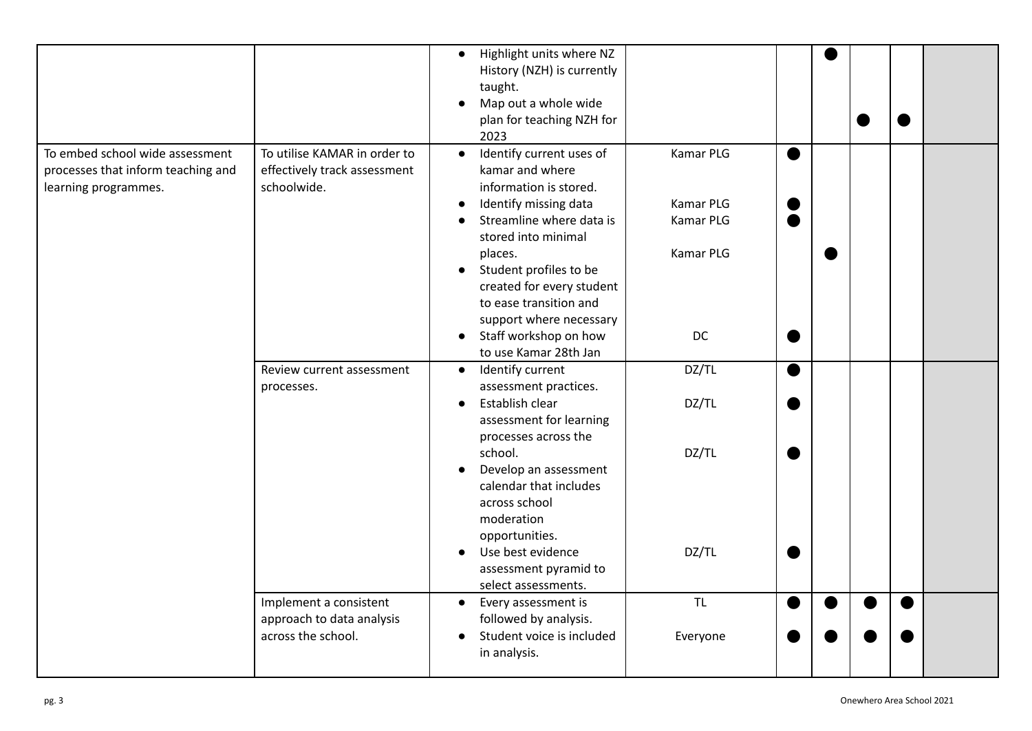|                                                                                               |                                                                             | Highlight units where NZ<br>$\bullet$<br>History (NZH) is currently<br>taught.<br>Map out a whole wide<br>$\bullet$<br>plan for teaching NZH for<br>2023 |
|-----------------------------------------------------------------------------------------------|-----------------------------------------------------------------------------|----------------------------------------------------------------------------------------------------------------------------------------------------------|
| To embed school wide assessment<br>processes that inform teaching and<br>learning programmes. | To utilise KAMAR in order to<br>effectively track assessment<br>schoolwide. | Identify current uses of<br>Kamar PLG<br>$\bullet$<br>kamar and where<br>information is stored.                                                          |
|                                                                                               |                                                                             | Identify missing data<br><b>Kamar PLG</b><br>Streamline where data is<br>Kamar PLG<br>stored into minimal                                                |
|                                                                                               |                                                                             | Kamar PLG<br>places.<br>Student profiles to be<br>$\bullet$<br>created for every student<br>to ease transition and<br>support where necessary            |
|                                                                                               |                                                                             | Staff workshop on how<br><b>DC</b><br>$\bullet$<br>to use Kamar 28th Jan                                                                                 |
|                                                                                               | Review current assessment<br>processes.                                     | DZ/TL<br>Identify current<br>●<br>$\bullet$<br>assessment practices.                                                                                     |
|                                                                                               |                                                                             | Establish clear<br>DZ/TL<br>$\bullet$<br>assessment for learning<br>processes across the                                                                 |
|                                                                                               |                                                                             | school.<br>DZ/TL<br>Develop an assessment<br>calendar that includes<br>across school<br>moderation<br>opportunities.                                     |
|                                                                                               |                                                                             | Use best evidence<br>DZ/TL<br>assessment pyramid to<br>select assessments.                                                                               |
|                                                                                               | Implement a consistent<br>approach to data analysis                         | <b>TL</b><br>Every assessment is<br>$\bullet$<br>followed by analysis.                                                                                   |
|                                                                                               | across the school.                                                          | Student voice is included<br>Everyone<br>$\bullet$<br>in analysis.                                                                                       |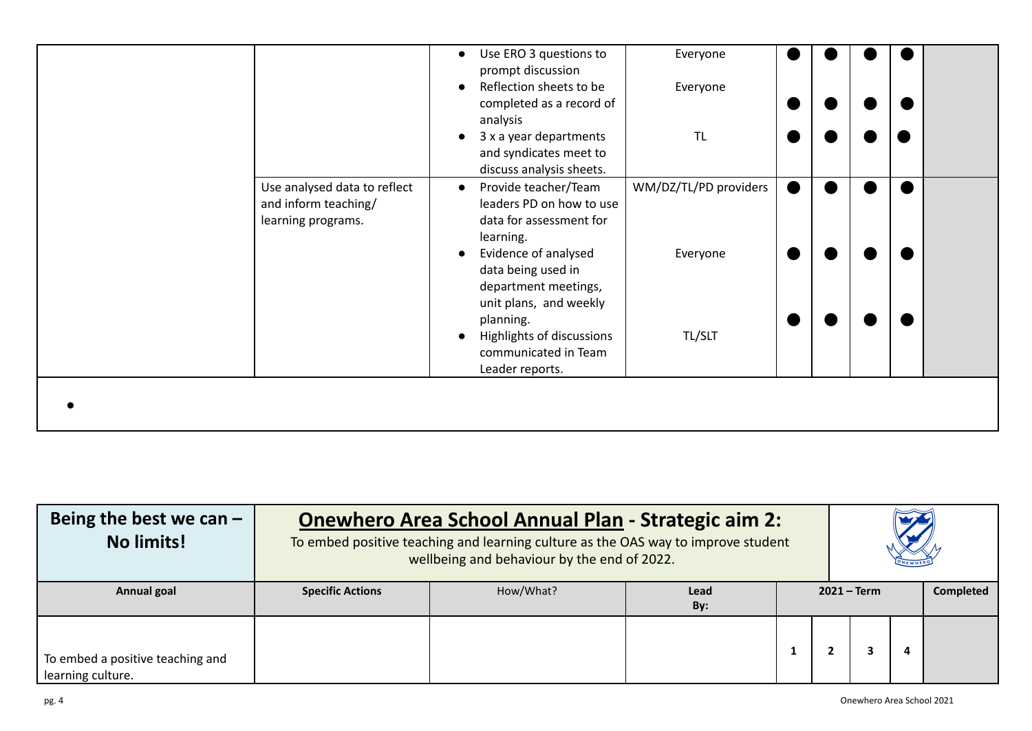|                                                                            | Use ERO 3 questions to<br>$\bullet$<br>prompt discussion<br>Reflection sheets to be<br>$\bullet$<br>completed as a record of<br>analysis<br>3 x a year departments<br>and syndicates meet to<br>discuss analysis sheets. | Everyone<br>Everyone<br><b>TL</b> |  |  |
|----------------------------------------------------------------------------|--------------------------------------------------------------------------------------------------------------------------------------------------------------------------------------------------------------------------|-----------------------------------|--|--|
| Use analysed data to reflect<br>and inform teaching/<br>learning programs. | Provide teacher/Team<br>$\bullet$<br>leaders PD on how to use<br>data for assessment for<br>learning.<br>Evidence of analysed<br>data being used in<br>department meetings,<br>unit plans, and weekly                    | WM/DZ/TL/PD providers<br>Everyone |  |  |
|                                                                            | planning.<br>Highlights of discussions<br>communicated in Team<br>Leader reports.                                                                                                                                        | TL/SLT                            |  |  |
|                                                                            |                                                                                                                                                                                                                          |                                   |  |  |

| Being the best we can $-$<br>No limits!               |                         | <u> Onewhero Area School Annual Plan</u> - Strategic aim 2:<br>To embed positive teaching and learning culture as the OAS way to improve student<br>wellbeing and behaviour by the end of 2022. |             |               |  |  |                  |  |
|-------------------------------------------------------|-------------------------|-------------------------------------------------------------------------------------------------------------------------------------------------------------------------------------------------|-------------|---------------|--|--|------------------|--|
| Annual goal                                           | <b>Specific Actions</b> | How/What?                                                                                                                                                                                       | Lead<br>By: | $2021 - Term$ |  |  | <b>Completed</b> |  |
| To embed a positive teaching and<br>learning culture. |                         |                                                                                                                                                                                                 |             |               |  |  | 4                |  |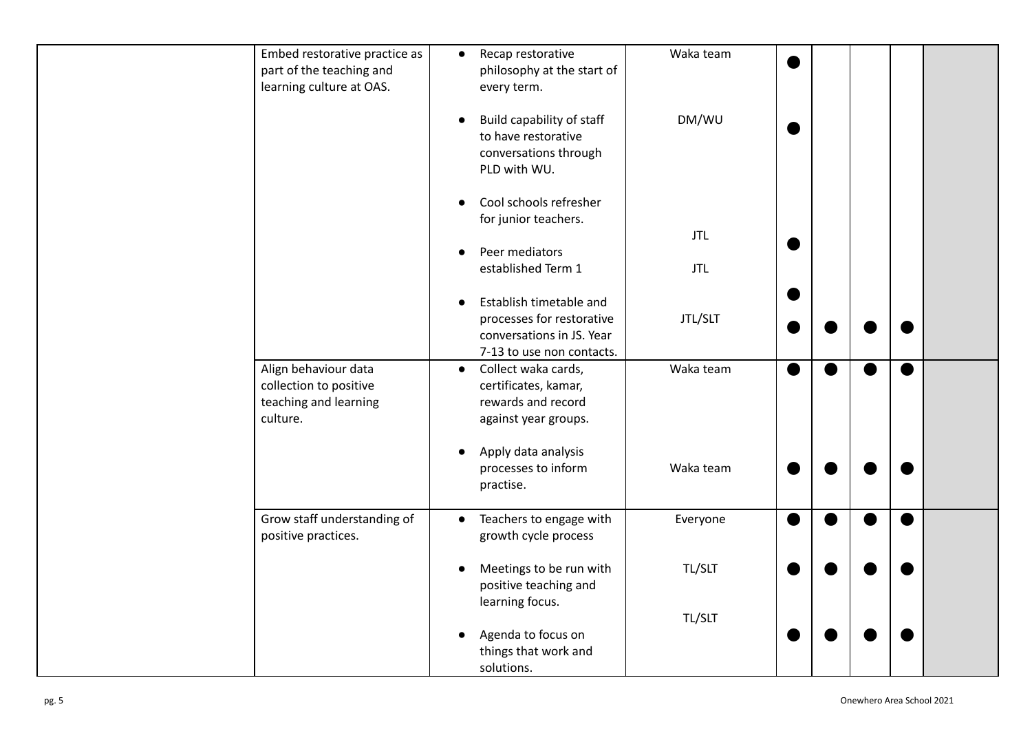| Embed restorative practice as<br>part of the teaching and<br>learning culture at OAS. | $\bullet$ | Recap restorative<br>philosophy at the start of<br>every term.                                                 | Waka team      |           |  |           |  |
|---------------------------------------------------------------------------------------|-----------|----------------------------------------------------------------------------------------------------------------|----------------|-----------|--|-----------|--|
|                                                                                       | $\bullet$ | Build capability of staff<br>to have restorative<br>conversations through<br>PLD with WU.                      | DM/WU          |           |  |           |  |
|                                                                                       | $\bullet$ | Cool schools refresher<br>for junior teachers.                                                                 | <b>JTL</b>     |           |  |           |  |
|                                                                                       | $\bullet$ | Peer mediators<br>established Term 1                                                                           | <b>JTL</b>     |           |  |           |  |
|                                                                                       | $\bullet$ | Establish timetable and<br>processes for restorative<br>conversations in JS. Year<br>7-13 to use non contacts. | <b>JTL/SLT</b> |           |  |           |  |
| Align behaviour data<br>collection to positive<br>teaching and learning<br>culture.   | $\bullet$ | Collect waka cards,<br>certificates, kamar,<br>rewards and record<br>against year groups.                      | Waka team      | $\bullet$ |  | $\bullet$ |  |
|                                                                                       |           | Apply data analysis<br>processes to inform<br>practise.                                                        | Waka team      |           |  |           |  |
| Grow staff understanding of<br>positive practices.                                    |           | Teachers to engage with<br>growth cycle process                                                                | Everyone       | $\bullet$ |  | $\bullet$ |  |
|                                                                                       | $\bullet$ | Meetings to be run with<br>positive teaching and<br>learning focus.                                            | TL/SLT         |           |  |           |  |
|                                                                                       |           | Agenda to focus on<br>things that work and<br>solutions.                                                       | TL/SLT         |           |  |           |  |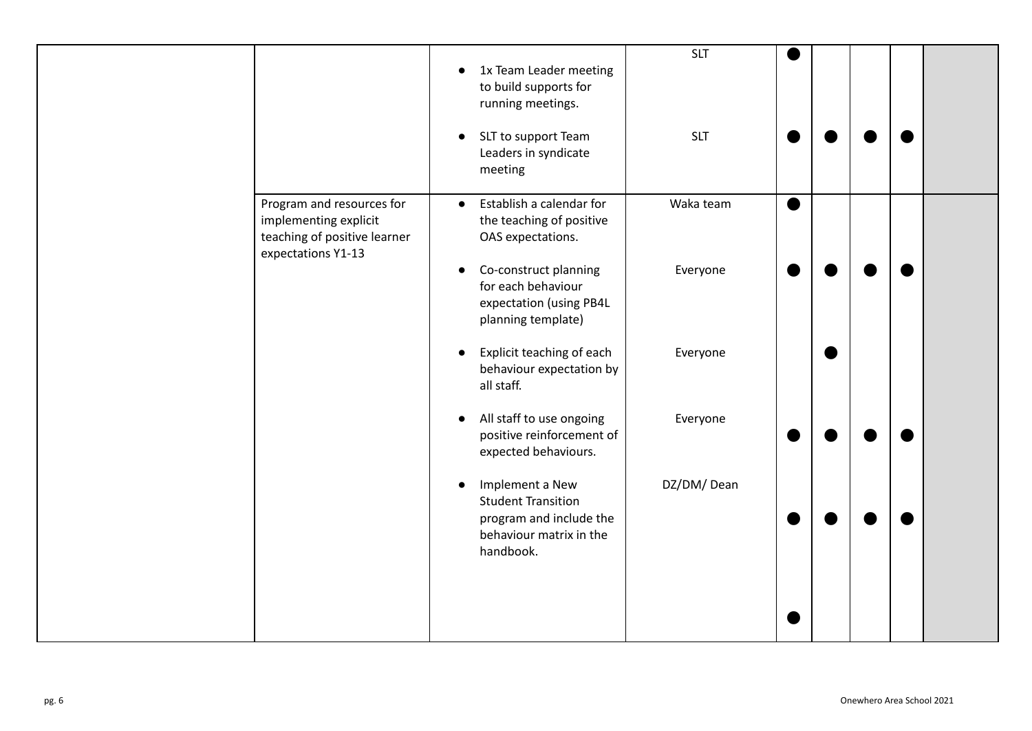|                                                                                                          | 1x Team Leader meeting<br>$\bullet$<br>to build supports for<br>running meetings.                                            | <b>SLT</b> |           |  |
|----------------------------------------------------------------------------------------------------------|------------------------------------------------------------------------------------------------------------------------------|------------|-----------|--|
|                                                                                                          | SLT to support Team<br>$\bullet$<br>Leaders in syndicate<br>meeting                                                          | <b>SLT</b> |           |  |
| Program and resources for<br>implementing explicit<br>teaching of positive learner<br>expectations Y1-13 | Establish a calendar for<br>$\bullet$<br>the teaching of positive<br>OAS expectations.                                       | Waka team  | $\bullet$ |  |
|                                                                                                          | Co-construct planning<br>$\bullet$<br>for each behaviour<br>expectation (using PB4L<br>planning template)                    | Everyone   |           |  |
|                                                                                                          | Explicit teaching of each<br>$\bullet$<br>behaviour expectation by<br>all staff.                                             | Everyone   |           |  |
|                                                                                                          | All staff to use ongoing<br>$\bullet$<br>positive reinforcement of<br>expected behaviours.                                   | Everyone   |           |  |
|                                                                                                          | Implement a New<br>$\bullet$<br><b>Student Transition</b><br>program and include the<br>behaviour matrix in the<br>handbook. | DZ/DM/Dean |           |  |
|                                                                                                          |                                                                                                                              |            |           |  |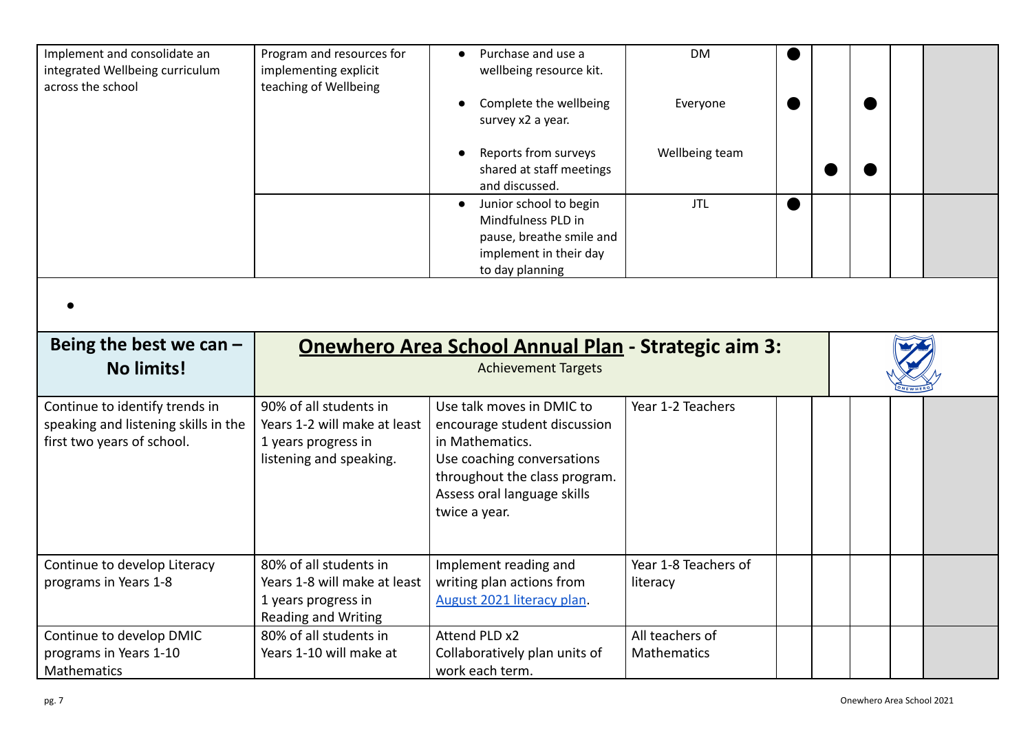| Implement and consolidate an<br>integrated Wellbeing curriculum<br>across the school                 | Program and resources for<br>implementing explicit<br>teaching of Wellbeing                                 | Purchase and use a<br>wellbeing resource kit.<br>Complete the wellbeing<br>survey x2 a year.                                                                                                | <b>DM</b><br>Everyone            |           |  |  |
|------------------------------------------------------------------------------------------------------|-------------------------------------------------------------------------------------------------------------|---------------------------------------------------------------------------------------------------------------------------------------------------------------------------------------------|----------------------------------|-----------|--|--|
|                                                                                                      |                                                                                                             | Reports from surveys<br>shared at staff meetings<br>and discussed.                                                                                                                          | Wellbeing team                   |           |  |  |
|                                                                                                      |                                                                                                             | Junior school to begin<br>Mindfulness PLD in<br>pause, breathe smile and<br>implement in their day<br>to day planning                                                                       | <b>JTL</b>                       | $\bullet$ |  |  |
|                                                                                                      |                                                                                                             |                                                                                                                                                                                             |                                  |           |  |  |
| Being the best we can $-$<br><b>No limits!</b>                                                       |                                                                                                             | <b>Onewhero Area School Annual Plan - Strategic aim 3:</b><br><b>Achievement Targets</b>                                                                                                    |                                  |           |  |  |
|                                                                                                      |                                                                                                             |                                                                                                                                                                                             |                                  |           |  |  |
| Continue to identify trends in<br>speaking and listening skills in the<br>first two years of school. | 90% of all students in<br>Years 1-2 will make at least<br>1 years progress in<br>listening and speaking.    | Use talk moves in DMIC to<br>encourage student discussion<br>in Mathematics.<br>Use coaching conversations<br>throughout the class program.<br>Assess oral language skills<br>twice a year. | Year 1-2 Teachers                |           |  |  |
| Continue to develop Literacy<br>programs in Years 1-8                                                | 80% of all students in<br>Years 1-8 will make at least<br>1 years progress in<br><b>Reading and Writing</b> | Implement reading and<br>writing plan actions from<br>August 2021 literacy plan.                                                                                                            | Year 1-8 Teachers of<br>literacy |           |  |  |
| Continue to develop DMIC<br>programs in Years 1-10                                                   | 80% of all students in                                                                                      | Attend PLD x2                                                                                                                                                                               | All teachers of                  |           |  |  |